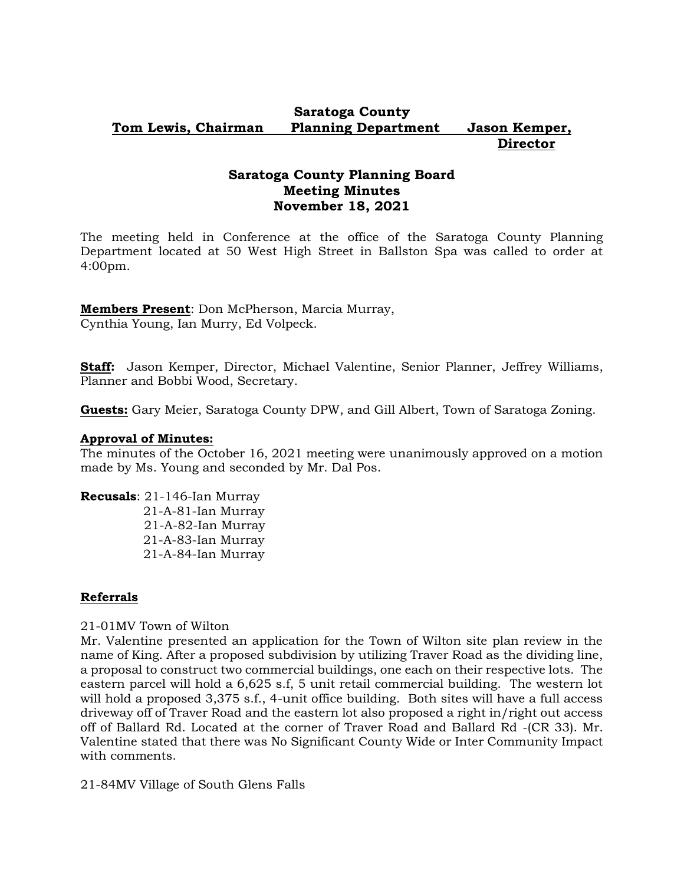### **Saratoga County Tom Lewis, Chairman Planning Department Jason Kemper, Director**

# **Saratoga County Planning Board Meeting Minutes November 18, 2021**

The meeting held in Conference at the office of the Saratoga County Planning Department located at 50 West High Street in Ballston Spa was called to order at 4:00pm.

**Members Present**: Don McPherson, Marcia Murray, Cynthia Young, Ian Murry, Ed Volpeck.

**Staff:** Jason Kemper, Director, Michael Valentine, Senior Planner, Jeffrey Williams, Planner and Bobbi Wood, Secretary.

**Guests:** Gary Meier, Saratoga County DPW, and Gill Albert, Town of Saratoga Zoning.

### **Approval of Minutes:**

The minutes of the October 16, 2021 meeting were unanimously approved on a motion made by Ms. Young and seconded by Mr. Dal Pos.

**Recusals**: 21-146-Ian Murray 21-A-81-Ian Murray

 21-A-82-Ian Murray 21-A-83-Ian Murray 21-A-84-Ian Murray

## **Referrals**

### 21-01MV Town of Wilton

Mr. Valentine presented an application for the Town of Wilton site plan review in the name of King. After a proposed subdivision by utilizing Traver Road as the dividing line, a proposal to construct two commercial buildings, one each on their respective lots. The eastern parcel will hold a 6,625 s.f, 5 unit retail commercial building. The western lot will hold a proposed 3,375 s.f., 4-unit office building. Both sites will have a full access driveway off of Traver Road and the eastern lot also proposed a right in/right out access off of Ballard Rd. Located at the corner of Traver Road and Ballard Rd -(CR 33). Mr. Valentine stated that there was No Significant County Wide or Inter Community Impact with comments.

21-84MV Village of South Glens Falls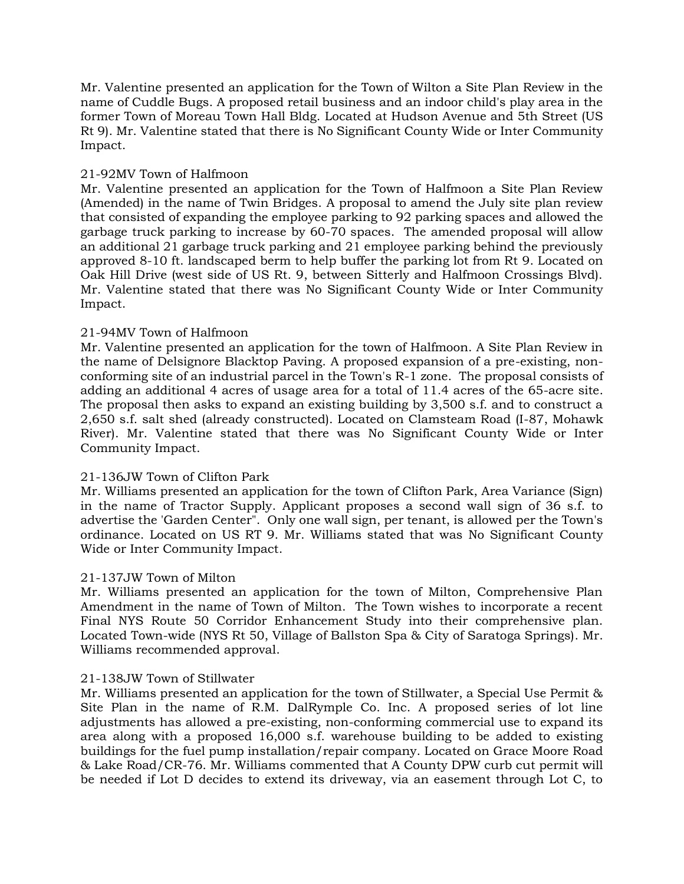Mr. Valentine presented an application for the Town of Wilton a Site Plan Review in the name of Cuddle Bugs. A proposed retail business and an indoor child's play area in the former Town of Moreau Town Hall Bldg. Located at Hudson Avenue and 5th Street (US Rt 9). Mr. Valentine stated that there is No Significant County Wide or Inter Community Impact.

## 21-92MV Town of Halfmoon

Mr. Valentine presented an application for the Town of Halfmoon a Site Plan Review (Amended) in the name of Twin Bridges. A proposal to amend the July site plan review that consisted of expanding the employee parking to 92 parking spaces and allowed the garbage truck parking to increase by 60-70 spaces. The amended proposal will allow an additional 21 garbage truck parking and 21 employee parking behind the previously approved 8-10 ft. landscaped berm to help buffer the parking lot from Rt 9. Located on Oak Hill Drive (west side of US Rt. 9, between Sitterly and Halfmoon Crossings Blvd). Mr. Valentine stated that there was No Significant County Wide or Inter Community Impact.

### 21-94MV Town of Halfmoon

Mr. Valentine presented an application for the town of Halfmoon. A Site Plan Review in the name of Delsignore Blacktop Paving. A proposed expansion of a pre-existing, nonconforming site of an industrial parcel in the Town's R-1 zone. The proposal consists of adding an additional 4 acres of usage area for a total of 11.4 acres of the 65-acre site. The proposal then asks to expand an existing building by 3,500 s.f. and to construct a 2,650 s.f. salt shed (already constructed). Located on Clamsteam Road (I-87, Mohawk River). Mr. Valentine stated that there was No Significant County Wide or Inter Community Impact.

## 21-136JW Town of Clifton Park

Mr. Williams presented an application for the town of Clifton Park, Area Variance (Sign) in the name of Tractor Supply. Applicant proposes a second wall sign of 36 s.f. to advertise the 'Garden Center". Only one wall sign, per tenant, is allowed per the Town's ordinance. Located on US RT 9. Mr. Williams stated that was No Significant County Wide or Inter Community Impact.

### 21-137JW Town of Milton

Mr. Williams presented an application for the town of Milton, Comprehensive Plan Amendment in the name of Town of Milton. The Town wishes to incorporate a recent Final NYS Route 50 Corridor Enhancement Study into their comprehensive plan. Located Town-wide (NYS Rt 50, Village of Ballston Spa & City of Saratoga Springs). Mr. Williams recommended approval.

### 21-138JW Town of Stillwater

Mr. Williams presented an application for the town of Stillwater, a Special Use Permit & Site Plan in the name of R.M. DalRymple Co. Inc. A proposed series of lot line adjustments has allowed a pre-existing, non-conforming commercial use to expand its area along with a proposed 16,000 s.f. warehouse building to be added to existing buildings for the fuel pump installation/repair company. Located on Grace Moore Road & Lake Road/CR-76. Mr. Williams commented that A County DPW curb cut permit will be needed if Lot D decides to extend its driveway, via an easement through Lot C, to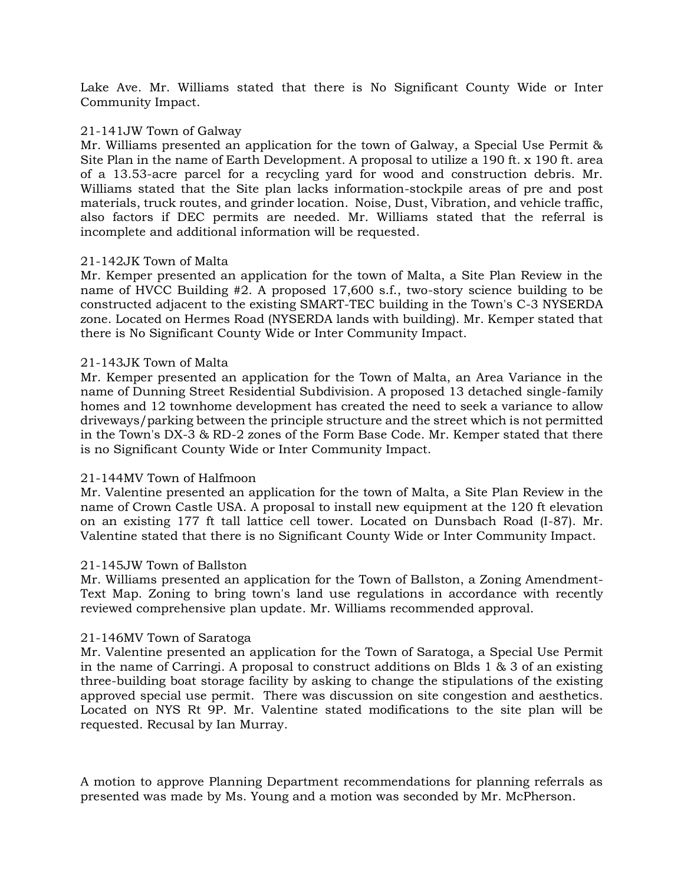Lake Ave. Mr. Williams stated that there is No Significant County Wide or Inter Community Impact.

#### 21-141JW Town of Galway

Mr. Williams presented an application for the town of Galway, a Special Use Permit & Site Plan in the name of Earth Development. A proposal to utilize a 190 ft. x 190 ft. area of a 13.53-acre parcel for a recycling yard for wood and construction debris. Mr. Williams stated that the Site plan lacks information-stockpile areas of pre and post materials, truck routes, and grinder location. Noise, Dust, Vibration, and vehicle traffic, also factors if DEC permits are needed. Mr. Williams stated that the referral is incomplete and additional information will be requested.

### 21-142JK Town of Malta

Mr. Kemper presented an application for the town of Malta, a Site Plan Review in the name of HVCC Building #2. A proposed 17,600 s.f., two-story science building to be constructed adjacent to the existing SMART-TEC building in the Town's C-3 NYSERDA zone. Located on Hermes Road (NYSERDA lands with building). Mr. Kemper stated that there is No Significant County Wide or Inter Community Impact.

#### 21-143JK Town of Malta

Mr. Kemper presented an application for the Town of Malta, an Area Variance in the name of Dunning Street Residential Subdivision. A proposed 13 detached single-family homes and 12 townhome development has created the need to seek a variance to allow driveways/parking between the principle structure and the street which is not permitted in the Town's DX-3 & RD-2 zones of the Form Base Code. Mr. Kemper stated that there is no Significant County Wide or Inter Community Impact.

### 21-144MV Town of Halfmoon

Mr. Valentine presented an application for the town of Malta, a Site Plan Review in the name of Crown Castle USA. A proposal to install new equipment at the 120 ft elevation on an existing 177 ft tall lattice cell tower. Located on Dunsbach Road (I-87). Mr. Valentine stated that there is no Significant County Wide or Inter Community Impact.

#### 21-145JW Town of Ballston

Mr. Williams presented an application for the Town of Ballston, a Zoning Amendment-Text Map. Zoning to bring town's land use regulations in accordance with recently reviewed comprehensive plan update. Mr. Williams recommended approval.

#### 21-146MV Town of Saratoga

Mr. Valentine presented an application for the Town of Saratoga, a Special Use Permit in the name of Carringi. A proposal to construct additions on Blds 1 & 3 of an existing three-building boat storage facility by asking to change the stipulations of the existing approved special use permit. There was discussion on site congestion and aesthetics. Located on NYS Rt 9P. Mr. Valentine stated modifications to the site plan will be requested. Recusal by Ian Murray.

A motion to approve Planning Department recommendations for planning referrals as presented was made by Ms. Young and a motion was seconded by Mr. McPherson.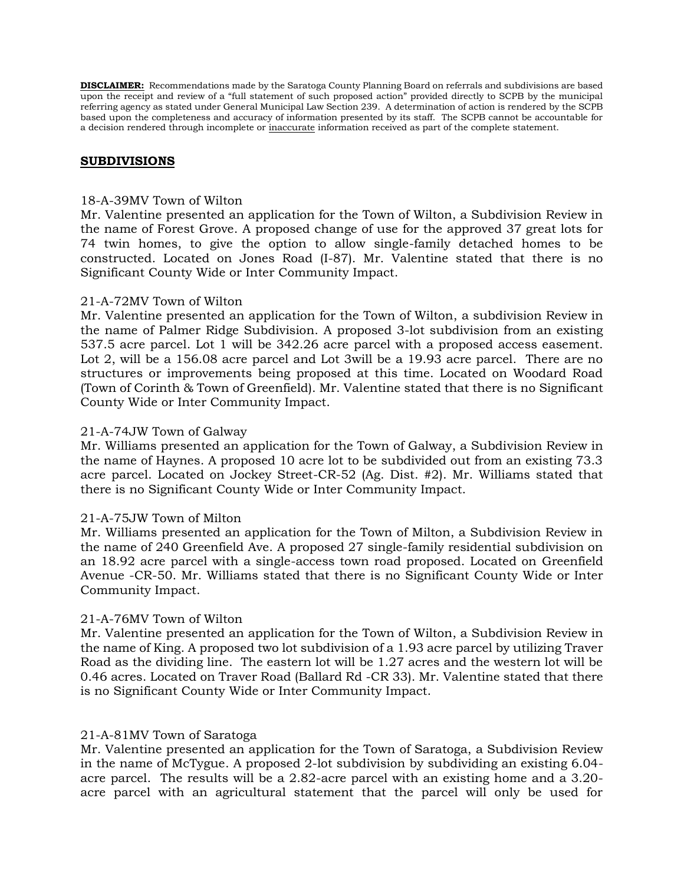**DISCLAIMER:** Recommendations made by the Saratoga County Planning Board on referrals and subdivisions are based upon the receipt and review of a "full statement of such proposed action" provided directly to SCPB by the municipal referring agency as stated under General Municipal Law Section 239. A determination of action is rendered by the SCPB based upon the completeness and accuracy of information presented by its staff. The SCPB cannot be accountable for a decision rendered through incomplete or inaccurate information received as part of the complete statement.

#### **SUBDIVISIONS**

#### 18-A-39MV Town of Wilton

Mr. Valentine presented an application for the Town of Wilton, a Subdivision Review in the name of Forest Grove. A proposed change of use for the approved 37 great lots for 74 twin homes, to give the option to allow single-family detached homes to be constructed. Located on Jones Road (I-87). Mr. Valentine stated that there is no Significant County Wide or Inter Community Impact.

#### 21-A-72MV Town of Wilton

Mr. Valentine presented an application for the Town of Wilton, a subdivision Review in the name of Palmer Ridge Subdivision. A proposed 3-lot subdivision from an existing 537.5 acre parcel. Lot 1 will be 342.26 acre parcel with a proposed access easement. Lot 2, will be a 156.08 acre parcel and Lot 3will be a 19.93 acre parcel. There are no structures or improvements being proposed at this time. Located on Woodard Road (Town of Corinth & Town of Greenfield). Mr. Valentine stated that there is no Significant County Wide or Inter Community Impact.

#### 21-A-74JW Town of Galway

Mr. Williams presented an application for the Town of Galway, a Subdivision Review in the name of Haynes. A proposed 10 acre lot to be subdivided out from an existing 73.3 acre parcel. Located on Jockey Street-CR-52 (Ag. Dist. #2). Mr. Williams stated that there is no Significant County Wide or Inter Community Impact.

### 21-A-75JW Town of Milton

Mr. Williams presented an application for the Town of Milton, a Subdivision Review in the name of 240 Greenfield Ave. A proposed 27 single-family residential subdivision on an 18.92 acre parcel with a single-access town road proposed. Located on Greenfield Avenue -CR-50. Mr. Williams stated that there is no Significant County Wide or Inter Community Impact.

### 21-A-76MV Town of Wilton

Mr. Valentine presented an application for the Town of Wilton, a Subdivision Review in the name of King. A proposed two lot subdivision of a 1.93 acre parcel by utilizing Traver Road as the dividing line. The eastern lot will be 1.27 acres and the western lot will be 0.46 acres. Located on Traver Road (Ballard Rd -CR 33). Mr. Valentine stated that there is no Significant County Wide or Inter Community Impact.

#### 21-A-81MV Town of Saratoga

Mr. Valentine presented an application for the Town of Saratoga, a Subdivision Review in the name of McTygue. A proposed 2-lot subdivision by subdividing an existing 6.04 acre parcel. The results will be a 2.82-acre parcel with an existing home and a 3.20 acre parcel with an agricultural statement that the parcel will only be used for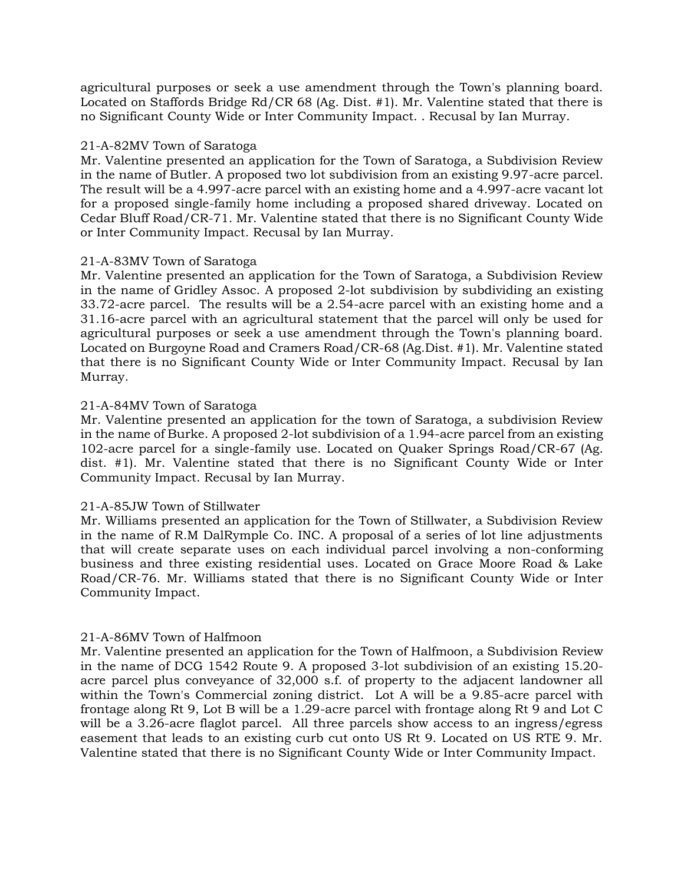agricultural purposes or seek a use amendment through the Town's planning board. Located on Staffords Bridge Rd/CR 68 (Ag. Dist. #1). Mr. Valentine stated that there is no Significant County Wide or Inter Community Impact. . Recusal by Ian Murray.

### 21-A-82MV Town of Saratoga

Mr. Valentine presented an application for the Town of Saratoga, a Subdivision Review in the name of Butler. A proposed two lot subdivision from an existing 9.97-acre parcel. The result will be a 4.997-acre parcel with an existing home and a 4.997-acre vacant lot for a proposed single-family home including a proposed shared driveway. Located on Cedar Bluff Road/CR-71. Mr. Valentine stated that there is no Significant County Wide or Inter Community Impact. Recusal by Ian Murray.

### 21-A-83MV Town of Saratoga

Mr. Valentine presented an application for the Town of Saratoga, a Subdivision Review in the name of Gridley Assoc. A proposed 2-lot subdivision by subdividing an existing 33.72-acre parcel. The results will be a 2.54-acre parcel with an existing home and a 31.16-acre parcel with an agricultural statement that the parcel will only be used for agricultural purposes or seek a use amendment through the Town's planning board. Located on Burgoyne Road and Cramers Road/CR-68 (Ag.Dist. #1). Mr. Valentine stated that there is no Significant County Wide or Inter Community Impact. Recusal by Ian Murray.

### 21-A-84MV Town of Saratoga

Mr. Valentine presented an application for the town of Saratoga, a subdivision Review in the name of Burke. A proposed 2-lot subdivision of a 1.94-acre parcel from an existing 102-acre parcel for a single-family use. Located on Quaker Springs Road/CR-67 (Ag. dist. #1). Mr. Valentine stated that there is no Significant County Wide or Inter Community Impact. Recusal by Ian Murray.

### 21-A-85JW Town of Stillwater

Mr. Williams presented an application for the Town of Stillwater, a Subdivision Review in the name of R.M DalRymple Co. INC. A proposal of a series of lot line adjustments that will create separate uses on each individual parcel involving a non-conforming business and three existing residential uses. Located on Grace Moore Road & Lake Road/CR-76. Mr. Williams stated that there is no Significant County Wide or Inter Community Impact.

### 21-A-86MV Town of Halfmoon

Mr. Valentine presented an application for the Town of Halfmoon, a Subdivision Review in the name of DCG 1542 Route 9. A proposed 3-lot subdivision of an existing 15.20 acre parcel plus conveyance of 32,000 s.f. of property to the adjacent landowner all within the Town's Commercial zoning district. Lot A will be a 9.85-acre parcel with frontage along Rt 9, Lot B will be a 1.29-acre parcel with frontage along Rt 9 and Lot C will be a 3.26-acre flaglot parcel. All three parcels show access to an ingress/egress easement that leads to an existing curb cut onto US Rt 9. Located on US RTE 9. Mr. Valentine stated that there is no Significant County Wide or Inter Community Impact.